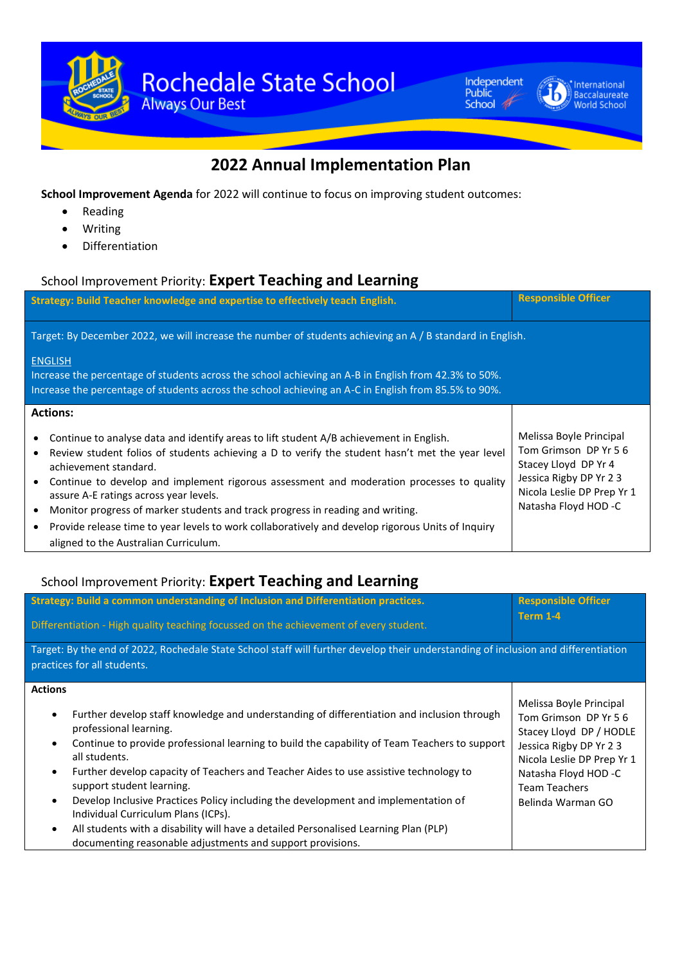



#### **International** Baccalaureate

## **2022 Annual Implementation Plan**

**School Improvement Agenda** for 2022 will continue to focus on improving student outcomes:

- Reading
- Writing
- Differentiation

# School Improvement Priority: **Expert Teaching and Learning**

| Strategy: Build Teacher knowledge and expertise to effectively teach English.                                                                                                                                                                                                                                                               | <b>Responsible Officer</b> |  |  |
|---------------------------------------------------------------------------------------------------------------------------------------------------------------------------------------------------------------------------------------------------------------------------------------------------------------------------------------------|----------------------------|--|--|
| Target: By December 2022, we will increase the number of students achieving an A / B standard in English.<br><b>ENGLISH</b><br>Increase the percentage of students across the school achieving an A-B in English from 42.3% to 50%.<br>Increase the percentage of students across the school achieving an A-C in English from 85.5% to 90%. |                            |  |  |
|                                                                                                                                                                                                                                                                                                                                             |                            |  |  |

### School Improvement Priority: **Expert Teaching and Learning**

|                                                                                                                                                                   | Strategy: Build a common understanding of Inclusion and Differentiation practices.                                                                                                                                                                                                                                                                           | <b>Responsible Officer</b>                                                                                                                                                          |  |  |
|-------------------------------------------------------------------------------------------------------------------------------------------------------------------|--------------------------------------------------------------------------------------------------------------------------------------------------------------------------------------------------------------------------------------------------------------------------------------------------------------------------------------------------------------|-------------------------------------------------------------------------------------------------------------------------------------------------------------------------------------|--|--|
|                                                                                                                                                                   | Differentiation - High quality teaching focussed on the achievement of every student.                                                                                                                                                                                                                                                                        | <b>Term 1-4</b>                                                                                                                                                                     |  |  |
| Target: By the end of 2022, Rochedale State School staff will further develop their understanding of inclusion and differentiation<br>practices for all students. |                                                                                                                                                                                                                                                                                                                                                              |                                                                                                                                                                                     |  |  |
| <b>Actions</b><br>$\bullet$<br>$\bullet$<br>$\bullet$                                                                                                             | Further develop staff knowledge and understanding of differentiation and inclusion through<br>professional learning.<br>Continue to provide professional learning to build the capability of Team Teachers to support<br>all students.<br>Further develop capacity of Teachers and Teacher Aides to use assistive technology to<br>support student learning. | Melissa Boyle Principal<br>Tom Grimson DP Yr 56<br>Stacey Lloyd DP / HODLE<br>Jessica Rigby DP Yr 2 3<br>Nicola Leslie DP Prep Yr 1<br>Natasha Floyd HOD -C<br><b>Team Teachers</b> |  |  |
| $\bullet$                                                                                                                                                         | Develop Inclusive Practices Policy including the development and implementation of<br>Individual Curriculum Plans (ICPs).<br>All students with a disability will have a detailed Personalised Learning Plan (PLP)<br>documenting reasonable adjustments and support provisions.                                                                              | Belinda Warman GO                                                                                                                                                                   |  |  |